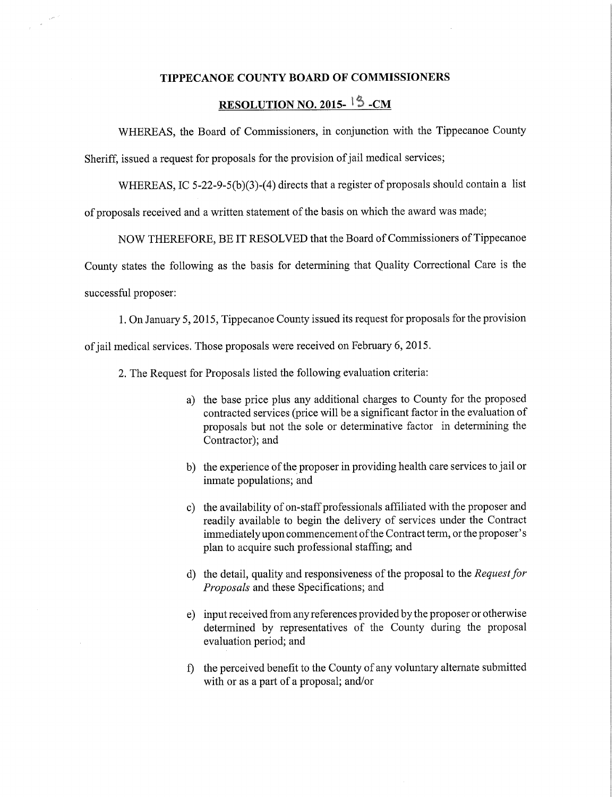## TIPPECANOE COUNTY BOARD OF COMMISSIONERS

## RESOLUTION NO. 2015- $\frac{15}{3}$ -CM

WHEREAS, the Board of Commissioners, in conjunction with the Tippecanoe County

Sheriff, issued a request for proposals for the provision of jail medical services;

WHEREAS, IC 5-22~9~5(b)(3)-(4) directs that <sup>a</sup> register of proposals should contain <sup>a</sup> list

of proposals received and a written statement of the basis on which the award was made;

NOW THEREFORE, BE IT RESOLVED that the Board of Commissioners of Tippecanoe

County states the following as the basis for determining that Quality Correctional Care is the

successful proposer:

1. On January 5, 2015, Tippecanoe County issued its request for proposals for the provision

of jail medical services. Those proposals were received on February 6, 2015.

2. The Request for Proposals listed the following evaluation criteria:

- a) the base price plus any additional charges to County for the proposed contracted services (price will be <sup>a</sup> significant factor in the evaluation of proposals but not the sole or determinative factor in determining the Contractor); and
- b) the experience ofthe proposer in providing health care services to jail or inmate populations; and
- c) the availability of on-staff professionals affiliated with the proposer and readily available to begin the delivery of services under the Contract immediately upon commencement of the Contract term, or the proposer's plan to acquire such professional staffing; and
- d) the detail, quality and responsiveness of the proposal to the Request for Proposals and these Specifications; and
- input received from any references provided by the proposer or otherwise determined by representatives of the County during the proposa<sup>l</sup> evaluation period; and
- f) the perceived benefit to the County of any voluntary alternate submitted with or as <sup>a</sup> part of <sup>a</sup> proposal; and/or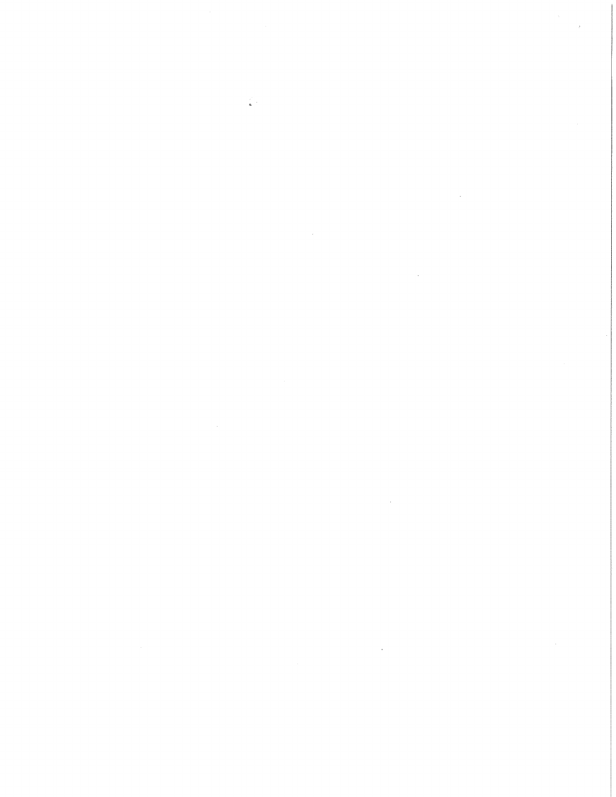$\label{eq:2} \frac{1}{\|\mathbf{g}\|^{2}}\leq \frac{1}{\|\mathbf{g}\|^{2}}.$  $\label{eq:2.1} \frac{1}{\sqrt{2}}\sum_{i=1}^n\frac{1}{\sqrt{2}}\sum_{i=1}^n\frac{1}{\sqrt{2}}\sum_{i=1}^n\frac{1}{\sqrt{2}}\sum_{i=1}^n\frac{1}{\sqrt{2}}\sum_{i=1}^n\frac{1}{\sqrt{2}}\sum_{i=1}^n\frac{1}{\sqrt{2}}\sum_{i=1}^n\frac{1}{\sqrt{2}}\sum_{i=1}^n\frac{1}{\sqrt{2}}\sum_{i=1}^n\frac{1}{\sqrt{2}}\sum_{i=1}^n\frac{1}{\sqrt{2}}\sum_{i=1}^n\frac$  $\label{eq:2.1} \frac{1}{\sqrt{2}}\sum_{i=1}^n\frac{1}{\sqrt{2}}\sum_{i=1}^n\frac{1}{\sqrt{2}}\sum_{i=1}^n\frac{1}{\sqrt{2}}\sum_{i=1}^n\frac{1}{\sqrt{2}}\sum_{i=1}^n\frac{1}{\sqrt{2}}\sum_{i=1}^n\frac{1}{\sqrt{2}}\sum_{i=1}^n\frac{1}{\sqrt{2}}\sum_{i=1}^n\frac{1}{\sqrt{2}}\sum_{i=1}^n\frac{1}{\sqrt{2}}\sum_{i=1}^n\frac{1}{\sqrt{2}}\sum_{i=1}^n\frac$  $\label{eq:2.1} \frac{1}{\sqrt{2}}\int_{\mathbb{R}^3}\frac{1}{\sqrt{2}}\left(\frac{1}{\sqrt{2}}\right)^2\frac{1}{\sqrt{2}}\left(\frac{1}{\sqrt{2}}\right)^2\frac{1}{\sqrt{2}}\left(\frac{1}{\sqrt{2}}\right)^2\frac{1}{\sqrt{2}}\left(\frac{1}{\sqrt{2}}\right)^2\frac{1}{\sqrt{2}}\left(\frac{1}{\sqrt{2}}\right)^2\frac{1}{\sqrt{2}}\frac{1}{\sqrt{2}}\frac{1}{\sqrt{2}}\frac{1}{\sqrt{2}}\frac{1}{\sqrt{2}}\frac{1}{\sqrt{2}}$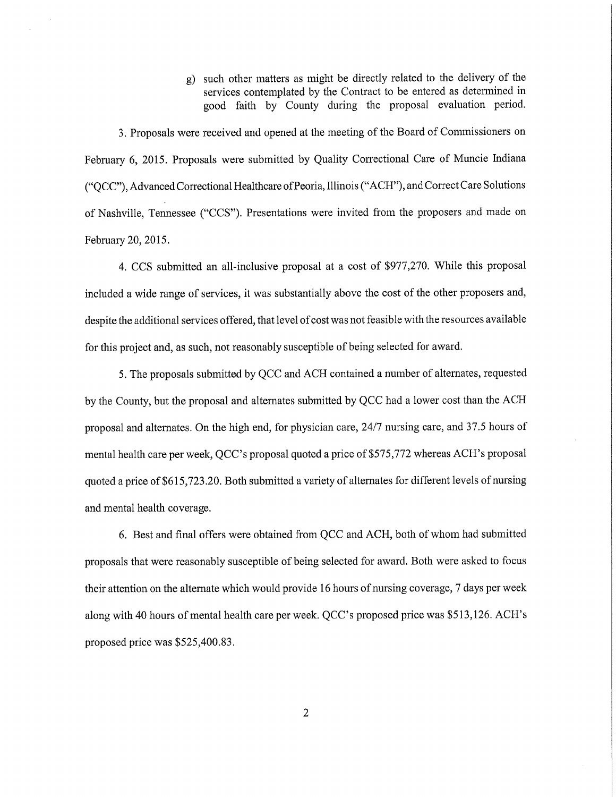g) such other matters as might be directly related to the delivery of the services contemplated by the Contract to be entered as determined in good faith by County during the proposal evaluation period.

3. Proposals were received and opened at the meeting of the Board of Commissioners on February 6, 2015. Proposals were submitted by Quality Correctional Care of Muncie Indiana ("QCC"), Advanced Correctional Healthcare ofPeoria, Illinois ("ACH"), and Correct Care Solutions of Nashville, Tennessee ("CCS"). Presentations were invited from the proposers and made on February 20, 2015.

4. CCS submitted an all-inclusive proposa<sup>l</sup> at <sup>a</sup> cost of \$977,270. While this proposa<sup>l</sup> included <sup>a</sup> wide range of services, it was substantially above the cost of the other proposers and, despite the additional services offered, that level of cost was not feasible with the resources available for this project and, as such, not reasonably susceptible of being selected for award.

5. The proposals submitted by QCC and ACH contained <sup>a</sup> number of alternates, requested by the County, but the proposa<sup>l</sup> and alternates submitted by QCC had <sup>a</sup> lower cost than the ACH proposa<sup>l</sup> and alternates. On the high end, for physician care, 24/7 nursing care, and 37.5 hours of mental health care perweek, QCC's proposa<sup>l</sup> quoted <sup>a</sup> price of \$575,772 whereas ACH's proposa<sup>l</sup> quoted <sup>a</sup> price of \$615,723.20. Both submitted <sup>a</sup> variety of alternates for different levels ofnursing and mental health coverage.

6. Best and final offers were obtained from QCC and ACH, both of whom had submitted proposals that were reasonably susceptible of being selected for award. Both were asked to focus their attention on the alternate which would provide 16 hours of nursing coverage, 7 days per week along with <sup>40</sup> hours of mental health care per week. QCC's proposed price was \$513,126. ACH's proposed price was \$525,400.83.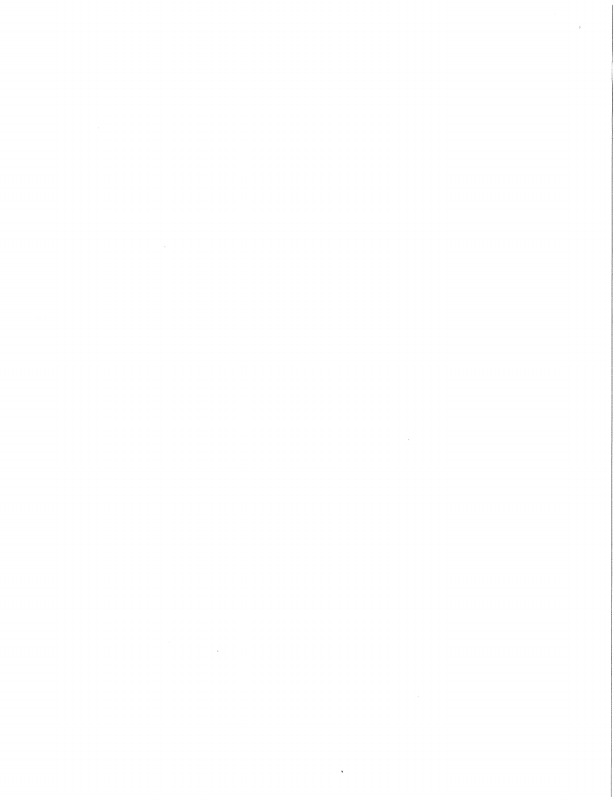$\mathcal{L}_{\mathrm{max}}$ 

 $\label{eq:2.1} \frac{1}{\sqrt{2}}\int_{\mathbb{R}^3}\frac{1}{\sqrt{2}}\left(\frac{1}{\sqrt{2}}\right)^2\frac{1}{\sqrt{2}}\left(\frac{1}{\sqrt{2}}\right)^2\frac{1}{\sqrt{2}}\left(\frac{1}{\sqrt{2}}\right)^2\frac{1}{\sqrt{2}}\left(\frac{1}{\sqrt{2}}\right)^2.$ 

 $\label{eq:2.1} \begin{split} \mathcal{L}_{\text{max}}(\mathbf{r},\mathbf{r}) = \mathcal{L}_{\text{max}}(\mathbf{r},\mathbf{r}) \mathcal{L}_{\text{max}}(\mathbf{r},\mathbf{r}) \mathcal{L}_{\text{max}}(\mathbf{r},\mathbf{r}) \mathcal{L}_{\text{max}}(\mathbf{r},\mathbf{r}) \mathcal{L}_{\text{max}}(\mathbf{r},\mathbf{r},\mathbf{r}) \mathcal{L}_{\text{max}}(\mathbf{r},\mathbf{r},\mathbf{r}) \mathcal{L}_{\text{max}}(\mathbf{r},\mathbf{r},\mathbf{r},\mathbf$ 

 $\mathbf{v} = \mathbf{v}$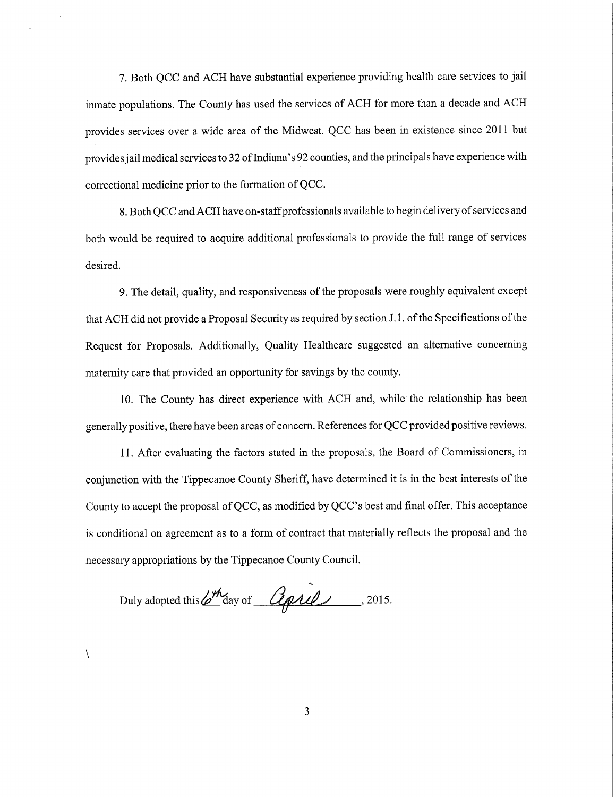'7. Both QCC and ACH have substantial experience providing health care services to jail inmate populations. The County has used the services of ACH for more than <sup>a</sup> decade and ACH provides services over <sup>a</sup> wide area of the Midwest. QCC has been in existence since <sup>2011</sup> but provides jail medical services to 32 of Indiana's 92 counties, and the principals have experience with correctional medicine prior to the formation of QCC.

8. Both QCC and ACH have on-staff professionals available to begin delivery of services and both would be required to acquire additional professionals to provide the full range of services desired.

9. The detail, quality, and responsiveness of the proposals were roughly equivalent except that ACH did not provide a Proposal Security as required by section J.1. of the Specifications of the Request for Proposals. Additionally, Quality Healthcare suggested an alternative concerning maternity care that provided an opportunity for savings by the county.

10. The County has direct experience with ACH and, while the relationship has been generally positive, there have been areas of concern. References for QCC provided positive reviews.

11. After evaluating the factors stated in the proposals, the Board of Commissioners, in conjunction with the Tippecanoe County Sheriff, have determined it is in the best interests of the County to accept the proposa<sup>l</sup> ofQCC, as modified by QCC's best and final offer. This acceptance is conditional on agreement as to <sup>a</sup> form of contract that materially reflects the proposal and the necessary appropriations by the Tippecanoe County Council.

Duly adopted thisway of, 2015.

 $\lambda$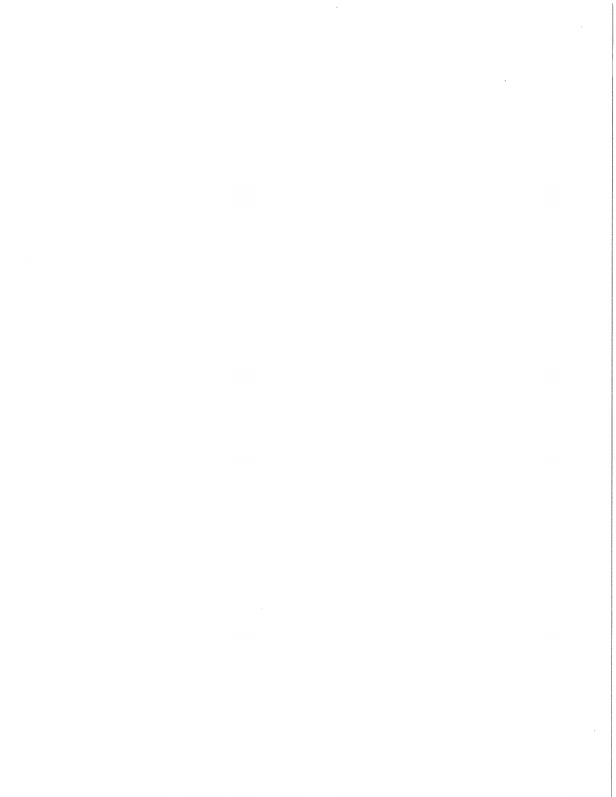$\mathcal{L}^{\text{max}}_{\text{max}}$ 

 $\sim 10^6$ 

 $\hat{\boldsymbol{\beta}}$ 

 $\hat{\boldsymbol{\beta}}$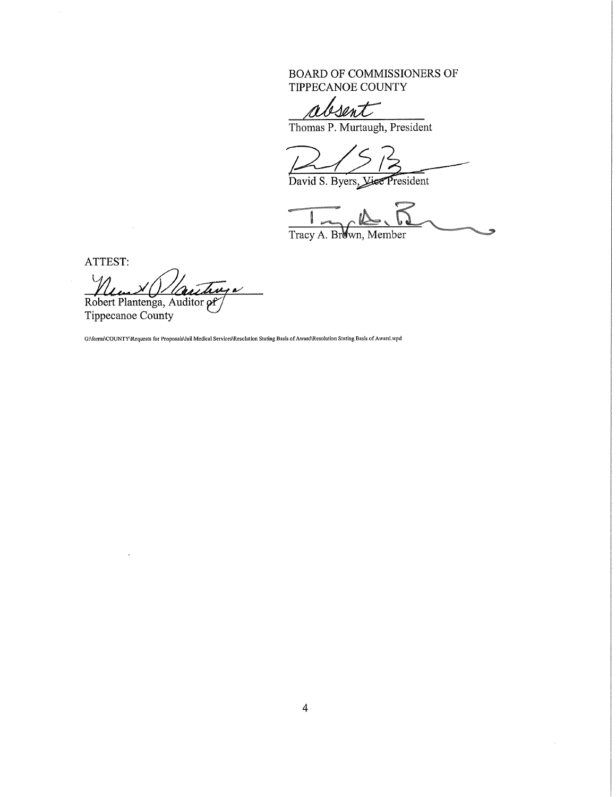## BOARD OF COMMISSIONERS OF TIPPECANOE COUNTY

Mant N

Thomas P. Murtaugh, President

David S. Byers, Vice President

an S Tracy A. Brown, Member

ATTEST:

Robert Plantenga, Auditor of

Tippecanoe County

G:\forms\COUNTY\Requests for Proposals\Jail Medical Services\Resolution Stating Basis of Award\Resolution Stating Basis of Award.wpd